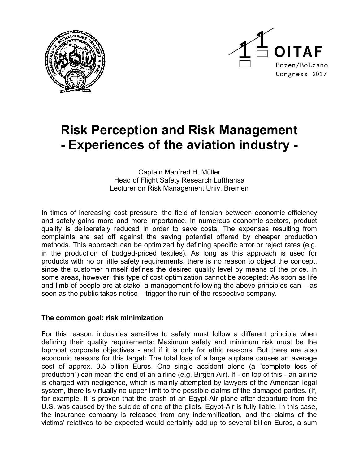



# **Risk Perception and Risk Management - Experiences of the aviation industry -**

Captain Manfred H. Müller Head of Flight Safety Research Lufthansa Lecturer on Risk Management Univ. Bremen

In times of increasing cost pressure, the field of tension between economic efficiency and safety gains more and more importance. In numerous economic sectors, product quality is deliberately reduced in order to save costs. The expenses resulting from complaints are set off against the saving potential offered by cheaper production methods. This approach can be optimized by defining specific error or reject rates (e.g. in the production of budged-priced textiles). As long as this approach is used for products with no or little safety requirements, there is no reason to object the concept, since the customer himself defines the desired quality level by means of the price. In some areas, however, this type of cost optimization cannot be accepted: As soon as life and limb of people are at stake, a management following the above principles can – as soon as the public takes notice – trigger the ruin of the respective company.

#### **The common goal: risk minimization**

For this reason, industries sensitive to safety must follow a different principle when defining their quality requirements: Maximum safety and minimum risk must be the topmost corporate objectives - and if it is only for ethic reasons. But there are also economic reasons for this target: The total loss of a large airplane causes an average cost of approx. 0.5 billion Euros. One single accident alone (a "complete loss of production") can mean the end of an airline (e.g. Birgen Air). If - on top of this - an airline is charged with negligence, which is mainly attempted by lawyers of the American legal system, there is virtually no upper limit to the possible claims of the damaged parties. (If, for example, it is proven that the crash of an Egypt-Air plane after departure from the U.S. was caused by the suicide of one of the pilots, Egypt-Air is fully liable. In this case, the insurance company is released from any indemnification, and the claims of the victims' relatives to be expected would certainly add up to several billion Euros, a sum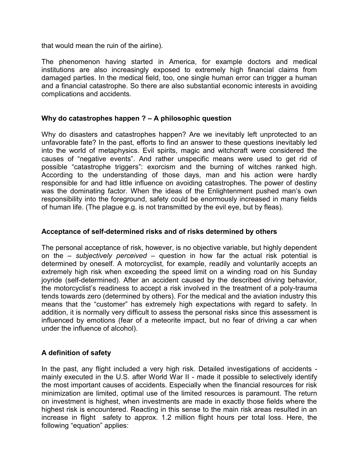that would mean the ruin of the airline).

The phenomenon having started in America, for example doctors and medical institutions are also increasingly exposed to extremely high financial claims from damaged parties. In the medical field, too, one single human error can trigger a human and a financial catastrophe. So there are also substantial economic interests in avoiding complications and accidents.

# **Why do catastrophes happen ? – A philosophic question**

Why do disasters and catastrophes happen? Are we inevitably left unprotected to an unfavorable fate? In the past, efforts to find an answer to these questions inevitably led into the world of metaphysics. Evil spirits, magic and witchcraft were considered the causes of "negative events". And rather unspecific means were used to get rid of possible "catastrophe triggers": exorcism and the burning of witches ranked high. According to the understanding of those days, man and his action were hardly responsible for and had little influence on avoiding catastrophes. The power of destiny was the dominating factor. When the ideas of the Enlightenment pushed man's own responsibility into the foreground, safety could be enormously increased in many fields of human life. (The plague e.g. is not transmitted by the evil eye, but by fleas).

#### **Acceptance of self-determined risks and of risks determined by others**

The personal acceptance of risk, however, is no objective variable, but highly dependent on the – *subjectively perceived* – question in how far the actual risk potential is determined by oneself. A motorcyclist, for example, readily and voluntarily accepts an extremely high risk when exceeding the speed limit on a winding road on his Sunday joyride (self-determined). After an accident caused by the described driving behavior, the motorcyclist's readiness to accept a risk involved in the treatment of a poly-trauma tends towards zero (determined by others). For the medical and the aviation industry this means that the "customer" has extremely high expectations with regard to safety. In addition, it is normally very difficult to assess the personal risks since this assessment is influenced by emotions (fear of a meteorite impact, but no fear of driving a car when under the influence of alcohol).

#### **A definition of safety**

In the past, any flight included a very high risk. Detailed investigations of accidents mainly executed in the U.S. after World War II - made it possible to selectively identify the most important causes of accidents. Especially when the financial resources for risk minimization are limited, optimal use of the limited resources is paramount. The return on investment is highest, when investments are made in exactly those fields where the highest risk is encountered. Reacting in this sense to the main risk areas resulted in an increase in flight safety to approx. 1.2 million flight hours per total loss. Here, the following "equation" applies: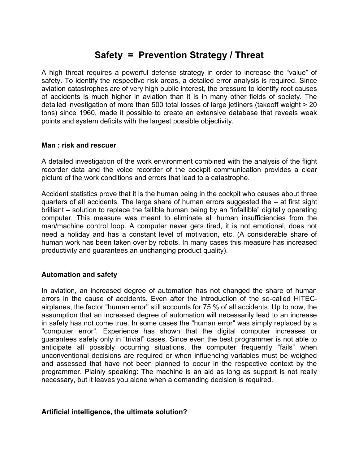# **Safety = Prevention Strategy / Threat**

A high threat requires a powerful defense strategy in order to increase the "value" of safety. To identify the respective risk areas, a detailed error analysis is required. Since aviation catastrophes are of very high public interest, the pressure to identify root causes of accidents is much higher in aviation than it is in many other fields of society. The detailed investigation of more than 500 total losses of large jetliners (takeoff weight > 20 tons) since 1960, made it possible to create an extensive database that reveals weak points and system deficits with the largest possible objectivity.

#### **Man : risk and rescuer**

A detailed investigation of the work environment combined with the analysis of the flight recorder data and the voice recorder of the cockpit communication provides a clear picture of the work conditions and errors that lead to a catastrophe.

Accident statistics prove that it is the human being in the cockpit who causes about three quarters of all accidents. The large share of human errors suggested the – at first sight brilliant – solution to replace the fallible human being by an "infallible" digitally operating computer. This measure was meant to eliminate all human insufficiencies from the man/machine control loop. A computer never gets tired, it is not emotional, does not need a holiday and has a constant level of motivation, etc. (A considerable share of human work has been taken over by robots. In many cases this measure has increased productivity and guarantees an unchanging product quality).

#### **Automation and safety**

In aviation, an increased degree of automation has not changed the share of human errors in the cause of accidents. Even after the introduction of the so-called HITECairplanes, the factor "human error" still accounts for 75 % of all accidents. Up to now, the assumption that an increased degree of automation will necessarily lead to an increase in safety has not come true. In some cases the "human error" was simply replaced by a "computer error". Experience has shown that the digital computer increases or guarantees safety only in "trivial" cases. Since even the best programmer is not able to anticipate all possibly occurring situations, the computer frequently "fails" when unconventional decisions are required or when influencing variables must be weighed and assessed that have not been planned to occur in the respective context by the programmer. Plainly speaking: The machine is an aid as long as support is not really necessary, but it leaves you alone when a demanding decision is required.

#### **Artificial intelligence, the ultimate solution?**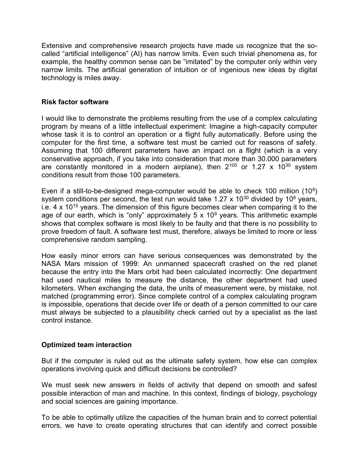Extensive and comprehensive research projects have made us recognize that the socalled "artificial intelligence" (AI) has narrow limits. Even such trivial phenomena as, for example, the healthy common sense can be "imitated" by the computer only within very narrow limits. The artificial generation of intuition or of ingenious new ideas by digital technology is miles away.

#### **Risk factor software**

I would like to demonstrate the problems resulting from the use of a complex calculating program by means of a little intellectual experiment: Imagine a high-capacity computer whose task it is to control an operation or a flight fully automatically. Before using the computer for the first time, a software test must be carried out for reasons of safety. Assuming that 100 different parameters have an impact on a flight (which is a very conservative approach, if you take into consideration that more than 30.000 parameters are constantly monitored in a modern airplane), then  $2^{100}$  or 1.27 x 10<sup>30</sup> system conditions result from those 100 parameters.

Even if a still-to-be-designed mega-computer would be able to check 100 million  $(10^8)$ system conditions per second, the test run would take 1.27 x 10<sup>30</sup> divided by 10<sup>8</sup> years, i.e. 4 x 10<sup>15</sup> years. The dimension of this figure becomes clear when comparing it to the age of our earth, which is "only" approximately  $5 \times 10^9$  years. This arithmetic example shows that complex software is most likely to be faulty and that there is no possibility to prove freedom of fault. A software test must, therefore, always be limited to more or less comprehensive random sampling.

How easily minor errors can have serious consequences was demonstrated by the NASA Mars mission of 1999: An unmanned spacecraft crashed on the red planet because the entry into the Mars orbit had been calculated incorrectly: One department had used nautical miles to measure the distance, the other department had used kilometers. When exchanging the data, the units of measurement were, by mistake, not matched (programming error). Since complete control of a complex calculating program is impossible, operations that decide over life or death of a person committed to our care must always be subjected to a plausibility check carried out by a specialist as the last control instance.

# **Optimized team interaction**

But if the computer is ruled out as the ultimate safety system, how else can complex operations involving quick and difficult decisions be controlled?

We must seek new answers in fields of activity that depend on smooth and safest possible interaction of man and machine. In this context, findings of biology, psychology and social sciences are gaining importance.

To be able to optimally utilize the capacities of the human brain and to correct potential errors, we have to create operating structures that can identify and correct possible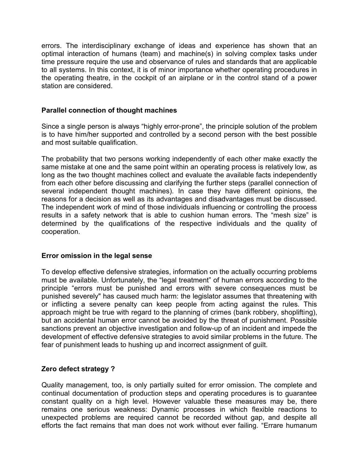errors. The interdisciplinary exchange of ideas and experience has shown that an optimal interaction of humans (team) and machine(s) in solving complex tasks under time pressure require the use and observance of rules and standards that are applicable to all systems. In this context, it is of minor importance whether operating procedures in the operating theatre, in the cockpit of an airplane or in the control stand of a power station are considered.

# **Parallel connection of thought machines**

Since a single person is always "highly error-prone", the principle solution of the problem is to have him/her supported and controlled by a second person with the best possible and most suitable qualification.

The probability that two persons working independently of each other make exactly the same mistake at one and the same point within an operating process is relatively low, as long as the two thought machines collect and evaluate the available facts independently from each other before discussing and clarifying the further steps (parallel connection of several independent thought machines). In case they have different opinions, the reasons for a decision as well as its advantages and disadvantages must be discussed. The independent work of mind of those individuals influencing or controlling the process results in a safety network that is able to cushion human errors. The "mesh size" is determined by the qualifications of the respective individuals and the quality of cooperation.

#### **Error omission in the legal sense**

To develop effective defensive strategies, information on the actually occurring problems must be available. Unfortunately, the "legal treatment" of human errors according to the principle "errors must be punished and errors with severe consequences must be punished severely" has caused much harm: the legislator assumes that threatening with or inflicting a severe penalty can keep people from acting against the rules. This approach might be true with regard to the planning of crimes (bank robbery, shoplifting), but an accidental human error cannot be avoided by the threat of punishment. Possible sanctions prevent an objective investigation and follow-up of an incident and impede the development of effective defensive strategies to avoid similar problems in the future. The fear of punishment leads to hushing up and incorrect assignment of guilt.

# **Zero defect strategy ?**

Quality management, too, is only partially suited for error omission. The complete and continual documentation of production steps and operating procedures is to guarantee constant quality on a high level. However valuable these measures may be, there remains one serious weakness: Dynamic processes in which flexible reactions to unexpected problems are required cannot be recorded without gap, and despite all efforts the fact remains that man does not work without ever failing. "Errare humanum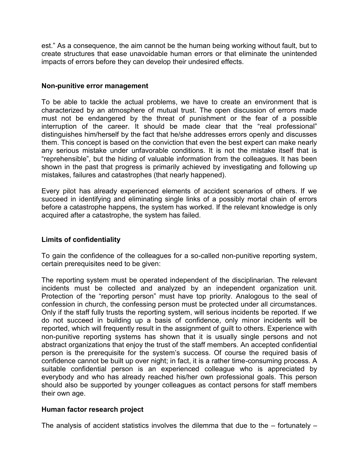est." As a consequence, the aim cannot be the human being working without fault, but to create structures that ease unavoidable human errors or that eliminate the unintended impacts of errors before they can develop their undesired effects.

#### **Non-punitive error management**

To be able to tackle the actual problems, we have to create an environment that is characterized by an atmosphere of mutual trust. The open discussion of errors made must not be endangered by the threat of punishment or the fear of a possible interruption of the career. It should be made clear that the "real professional" distinguishes him/herself by the fact that he/she addresses errors openly and discusses them. This concept is based on the conviction that even the best expert can make nearly any serious mistake under unfavorable conditions. It is not the mistake itself that is "reprehensible", but the hiding of valuable information from the colleagues. It has been shown in the past that progress is primarily achieved by investigating and following up mistakes, failures and catastrophes (that nearly happened).

Every pilot has already experienced elements of accident scenarios of others. If we succeed in identifying and eliminating single links of a possibly mortal chain of errors before a catastrophe happens, the system has worked. If the relevant knowledge is only acquired after a catastrophe, the system has failed.

# **Limits of confidentiality**

To gain the confidence of the colleagues for a so-called non-punitive reporting system, certain prerequisites need to be given:

The reporting system must be operated independent of the disciplinarian. The relevant incidents must be collected and analyzed by an independent organization unit. Protection of the "reporting person" must have top priority. Analogous to the seal of confession in church, the confessing person must be protected under all circumstances. Only if the staff fully trusts the reporting system, will serious incidents be reported. If we do not succeed in building up a basis of confidence, only minor incidents will be reported, which will frequently result in the assignment of guilt to others. Experience with non-punitive reporting systems has shown that it is usually single persons and not abstract organizations that enjoy the trust of the staff members. An accepted confidential person is the prerequisite for the system's success. Of course the required basis of confidence cannot be built up over night; in fact, it is a rather time-consuming process. A suitable confidential person is an experienced colleague who is appreciated by everybody and who has already reached his/her own professional goals. This person should also be supported by younger colleagues as contact persons for staff members their own age.

# **Human factor research project**

The analysis of accident statistics involves the dilemma that due to the  $-$  fortunately  $-$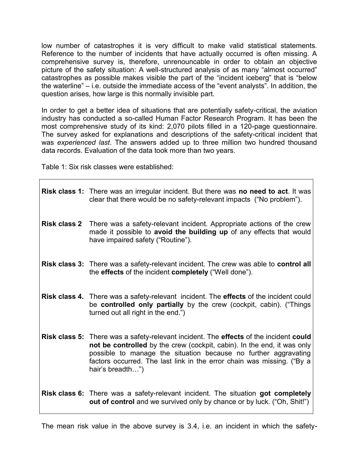low number of catastrophes it is very difficult to make valid statistical statements. Reference to the number of incidents that have actually occurred is often missing. A comprehensive survey is, therefore, unrenouncable in order to obtain an objective picture of the safety situation: A well-structured analysis of as many "almost occurred" catastrophes as possible makes visible the part of the "incident iceberg" that is "below the waterline" – i.e. outside the immediate access of the "event analysts". In addition, the question arises, how large is this normally invisible part.

In order to get a better idea of situations that are potentially safety-critical, the aviation industry has conducted a so-called Human Factor Research Program. It has been the most comprehensive study of its kind: 2,070 pilots filled in a 120-page questionnaire. The survey asked for explanations and descriptions of the safety-critical incident that was *experienced last*. The answers added up to three million two hundred thousand data records. Evaluation of the data took more than two years.

Table 1: Six risk classes were established:

|                     | <b>Risk class 1:</b> There was an irregular incident. But there was no need to act. It was<br>clear that there would be no safety-relevant impacts ("No problem").                                                                                                                                                                              |
|---------------------|-------------------------------------------------------------------------------------------------------------------------------------------------------------------------------------------------------------------------------------------------------------------------------------------------------------------------------------------------|
| <b>Risk class 2</b> | There was a safety-relevant incident. Appropriate actions of the crew<br>made it possible to avoid the building up of any effects that would<br>have impaired safety ("Routine").                                                                                                                                                               |
|                     | <b>Risk class 3:</b> There was a safety-relevant incident. The crew was able to control all<br>the effects of the incident completely ("Well done").                                                                                                                                                                                            |
|                     | Risk class 4. There was a safety-relevant incident. The effects of the incident could<br>be controlled only partially by the crew (cockpit, cabin). ("Things<br>turned out all right in the end.")                                                                                                                                              |
|                     | <b>Risk class 5:</b> There was a safety-relevant incident. The <b>effects</b> of the incident could<br>not be controlled by the crew (cockpit, cabin). In the end, it was only<br>possible to manage the situation because no further aggravating<br>factors occurred. The last link in the error chain was missing. ("By a<br>hair's breadth") |
|                     | <b>Risk class 6:</b> There was a safety-relevant incident. The situation got completely<br>out of control and we survived only by chance or by luck. ("Oh, Shit!")                                                                                                                                                                              |

The mean risk value in the above survey is 3.4, i.e. an incident in which the safety-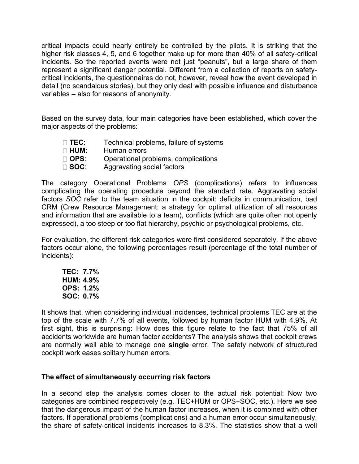critical impacts could nearly entirely be controlled by the pilots. It is striking that the higher risk classes 4, 5, and 6 together make up for more than 40% of all safety-critical incidents. So the reported events were not just "peanuts", but a large share of them represent a significant danger potential. Different from a collection of reports on safetycritical incidents, the questionnaires do not, however, reveal how the event developed in detail (no scandalous stories), but they only deal with possible influence and disturbance variables – also for reasons of anonymity.

Based on the survey data, four main categories have been established, which cover the major aspects of the problems:

- □ TEC: Technical problems, failure of systems
- **HUM**: Human errors
- **OPS**: Operational problems, complications
- □ **SOC**: Aggravating social factors

The category Operational Problems *OPS* (complications) refers to influences complicating the operating procedure beyond the standard rate. Aggravating social factors *SOC* refer to the team situation in the cockpit: deficits in communication, bad CRM (Crew Resource Management: a strategy for optimal utilization of all resources and information that are available to a team), conflicts (which are quite often not openly expressed), a too steep or too flat hierarchy, psychic or psychological problems, etc.

For evaluation, the different risk categories were first considered separately. If the above factors occur alone, the following percentages result (percentage of the total number of incidents):

**TEC: 7.7% HUM: 4.9% OPS: 1.2% SOC: 0.7%**

It shows that, when considering individual incidences, technical problems TEC are at the top of the scale with 7.7% of all events, followed by human factor HUM with 4.9%. At first sight, this is surprising: How does this figure relate to the fact that 75% of all accidents worldwide are human factor accidents? The analysis shows that cockpit crews are normally well able to manage one **single** error. The safety network of structured cockpit work eases solitary human errors.

#### **The effect of simultaneously occurring risk factors**

In a second step the analysis comes closer to the actual risk potential: Now two categories are combined respectively (e.g. TEC+HUM or OPS+SOC, etc.). Here we see that the dangerous impact of the human factor increases, when it is combined with other factors. If operational problems (complications) and a human error occur simultaneously, the share of safety-critical incidents increases to 8.3%. The statistics show that a well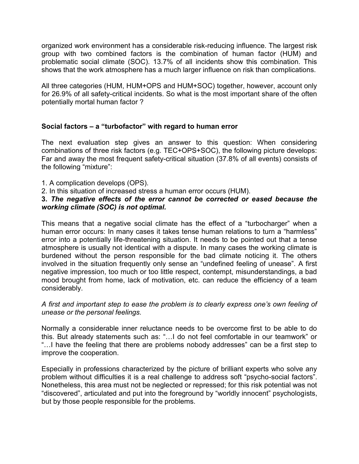organized work environment has a considerable risk-reducing influence. The largest risk group with two combined factors is the combination of human factor (HUM) and problematic social climate (SOC). 13.7% of all incidents show this combination. This shows that the work atmosphere has a much larger influence on risk than complications.

All three categories (HUM, HUM+OPS and HUM+SOC) together, however, account only for 26.9% of all safety-critical incidents. So what is the most important share of the often potentially mortal human factor ?

# **Social factors – a "turbofactor" with regard to human error**

The next evaluation step gives an answer to this question: When considering combinations of three risk factors (e.g. TEC+OPS+SOC), the following picture develops: Far and away the most frequent safety-critical situation (37.8% of all events) consists of the following "mixture":

- 1. A complication develops (OPS).
- 2. In this situation of increased stress a human error occurs (HUM).

#### **3.** *The negative effects of the error cannot be corrected or eased because the working climate (SOC) is not optimal.*

This means that a negative social climate has the effect of a "turbocharger" when a human error occurs: In many cases it takes tense human relations to turn a "harmless" error into a potentially life-threatening situation. It needs to be pointed out that a tense atmosphere is usually not identical with a dispute. In many cases the working climate is burdened without the person responsible for the bad climate noticing it. The others involved in the situation frequently only sense an "undefined feeling of unease". A first negative impression, too much or too little respect, contempt, misunderstandings, a bad mood brought from home, lack of motivation, etc. can reduce the efficiency of a team considerably.

*A first and important step to ease the problem is to clearly express one's own feeling of unease or the personal feelings.*

Normally a considerable inner reluctance needs to be overcome first to be able to do this. But already statements such as: "…I do not feel comfortable in our teamwork" or "…I have the feeling that there are problems nobody addresses" can be a first step to improve the cooperation.

Especially in professions characterized by the picture of brilliant experts who solve any problem without difficulties it is a real challenge to address soft "psycho-social factors". Nonetheless, this area must not be neglected or repressed; for this risk potential was not "discovered", articulated and put into the foreground by "worldly innocent" psychologists, but by those people responsible for the problems.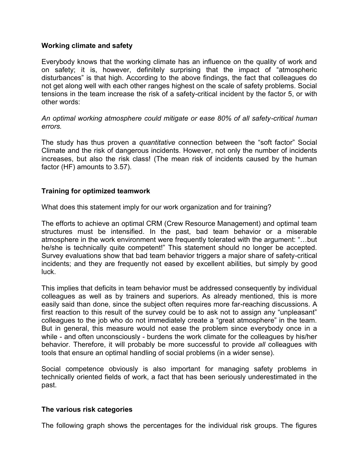#### **Working climate and safety**

Everybody knows that the working climate has an influence on the quality of work and on safety; it is, however, definitely surprising that the impact of "atmospheric disturbances" is that high. According to the above findings, the fact that colleagues do not get along well with each other ranges highest on the scale of safety problems. Social tensions in the team increase the risk of a safety-critical incident by the factor 5, or with other words:

#### *An optimal working atmosphere could mitigate or ease 80% of all safety-critical human errors.*

The study has thus proven a *quantitative* connection between the "soft factor" Social Climate and the risk of dangerous incidents. However, not only the number of incidents increases, but also the risk class! (The mean risk of incidents caused by the human factor (HF) amounts to 3.57).

# **Training for optimized teamwork**

What does this statement imply for our work organization and for training?

The efforts to achieve an optimal CRM (Crew Resource Management) and optimal team structures must be intensified. In the past, bad team behavior or a miserable atmosphere in the work environment were frequently tolerated with the argument: "…but he/she is technically quite competent!" This statement should no longer be accepted. Survey evaluations show that bad team behavior triggers a major share of safety-critical incidents; and they are frequently not eased by excellent abilities, but simply by good luck.

This implies that deficits in team behavior must be addressed consequently by individual colleagues as well as by trainers and superiors. As already mentioned, this is more easily said than done, since the subject often requires more far-reaching discussions. A first reaction to this result of the survey could be to ask not to assign any "unpleasant" colleagues to the job who do not immediately create a "great atmosphere" in the team. But in general, this measure would not ease the problem since everybody once in a while - and often unconsciously - burdens the work climate for the colleagues by his/her behavior. Therefore, it will probably be more successful to provide *all* colleagues with tools that ensure an optimal handling of social problems (in a wider sense).

Social competence obviously is also important for managing safety problems in technically oriented fields of work, a fact that has been seriously underestimated in the past.

#### **The various risk categories**

The following graph shows the percentages for the individual risk groups. The figures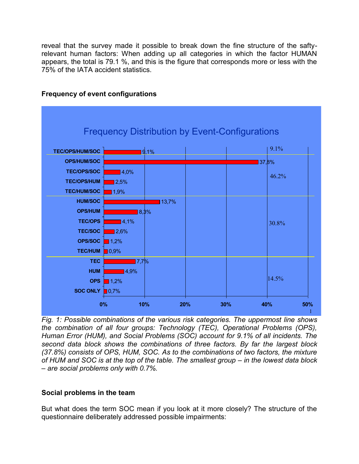reveal that the survey made it possible to break down the fine structure of the saftyrelevant human factors: When adding up all categories in which the factor HUMAN appears, the total is 79.1 %, and this is the figure that corresponds more or less with the 75% of the IATA accident statistics.



# **Frequency of event configurations**

*Fig. 1: Possible combinations of the various risk categories. The uppermost line shows the combination of all four groups: Technology (TEC), Operational Problems (OPS), Human Error (HUM), and Social Problems (SOC) account for 9.1% of all incidents. The second data block shows the combinations of three factors. By far the largest block (37.8%) consists of OPS, HUM, SOC. As to the combinations of two factors, the mixture of HUM and SOC is at the top of the table. The smallest group – in the lowest data block – are social problems only with 0.7%.*

# **Social problems in the team**

But what does the term SOC mean if you look at it more closely? The structure of the questionnaire deliberately addressed possible impairments: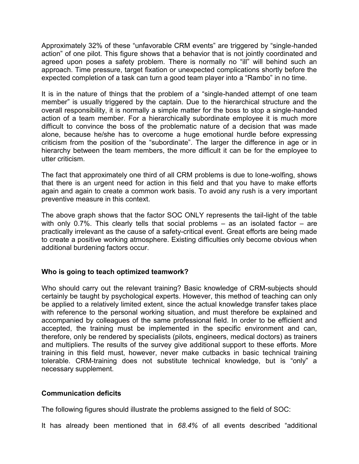Approximately 32% of these "unfavorable CRM events" are triggered by "single-handed action" of one pilot. This figure shows that a behavior that is not jointly coordinated and agreed upon poses a safety problem. There is normally no "ill" will behind such an approach. Time pressure, target fixation or unexpected complications shortly before the expected completion of a task can turn a good team player into a "Rambo" in no time.

It is in the nature of things that the problem of a "single-handed attempt of one team member" is usually triggered by the captain. Due to the hierarchical structure and the overall responsibility, it is normally a simple matter for the boss to stop a single-handed action of a team member. For a hierarchically subordinate employee it is much more difficult to convince the boss of the problematic nature of a decision that was made alone, because he/she has to overcome a huge emotional hurdle before expressing criticism from the position of the "subordinate". The larger the difference in age or in hierarchy between the team members, the more difficult it can be for the employee to utter criticism.

The fact that approximately one third of all CRM problems is due to lone-wolfing, shows that there is an urgent need for action in this field and that you have to make efforts again and again to create a common work basis. To avoid any rush is a very important preventive measure in this context.

The above graph shows that the factor SOC ONLY represents the tail-light of the table with only 0.7%. This clearly tells that social problems – as an isolated factor – are practically irrelevant as the cause of a safety-critical event. Great efforts are being made to create a positive working atmosphere. Existing difficulties only become obvious when additional burdening factors occur.

#### **Who is going to teach optimized teamwork?**

Who should carry out the relevant training? Basic knowledge of CRM-subjects should certainly be taught by psychological experts. However, this method of teaching can only be applied to a relatively limited extent, since the actual knowledge transfer takes place with reference to the personal working situation, and must therefore be explained and accompanied by colleagues of the same professional field. In order to be efficient and accepted, the training must be implemented in the specific environment and can, therefore, only be rendered by specialists (pilots, engineers, medical doctors) as trainers and multipliers. The results of the survey give additional support to these efforts. More training in this field must, however, never make cutbacks in basic technical training tolerable. CRM-training does not substitute technical knowledge, but is "only" a necessary supplement.

#### **Communication deficits**

The following figures should illustrate the problems assigned to the field of SOC:

It has already been mentioned that in *68.4%* of all events described "additional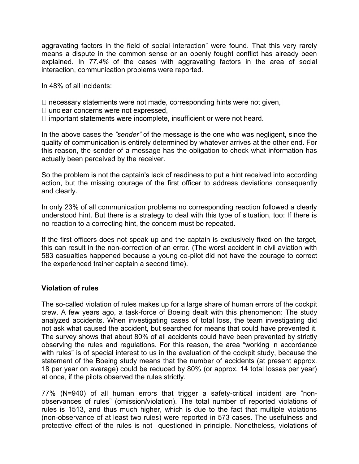aggravating factors in the field of social interaction" were found. That this very rarely means a dispute in the common sense or an openly fought conflict has already been explained. In *77.4%* of the cases with aggravating factors in the area of social interaction, communication problems were reported.

In 48% of all incidents:

- $\Box$  necessary statements were not made, corresponding hints were not given,
- □ unclear concerns were not expressed.
- $\Box$  important statements were incomplete, insufficient or were not heard.

In the above cases the *"sender"* of the message is the one who was negligent, since the quality of communication is entirely determined by whatever arrives at the other end. For this reason, the sender of a message has the obligation to check what information has actually been perceived by the receiver.

So the problem is not the captain's lack of readiness to put a hint received into according action, but the missing courage of the first officer to address deviations consequently and clearly.

In only 23% of all communication problems no corresponding reaction followed a clearly understood hint. But there is a strategy to deal with this type of situation, too: If there is no reaction to a correcting hint, the concern must be repeated.

If the first officers does not speak up and the captain is exclusively fixed on the target, this can result in the non-correction of an error. (The worst accident in civil aviation with 583 casualties happened because a young co-pilot did not have the courage to correct the experienced trainer captain a second time).

#### **Violation of rules**

The so-called violation of rules makes up for a large share of human errors of the cockpit crew. A few years ago, a task-force of Boeing dealt with this phenomenon: The study analyzed accidents. When investigating cases of total loss, the team investigating did not ask what caused the accident, but searched for means that could have prevented it. The survey shows that about 80% of all accidents could have been prevented by strictly observing the rules and regulations. For this reason, the area "working in accordance with rules" is of special interest to us in the evaluation of the cockpit study, because the statement of the Boeing study means that the number of accidents (at present approx. 18 per year on average) could be reduced by 80% (or approx. 14 total losses per year) at once, if the pilots observed the rules strictly.

77% (N=940) of all human errors that trigger a safety-critical incident are "nonobservances of rules" (omission/violation). The total number of reported violations of rules is 1513, and thus much higher, which is due to the fact that multiple violations (non-observance of at least two rules) were reported in 573 cases. The usefulness and protective effect of the rules is not questioned in principle. Nonetheless, violations of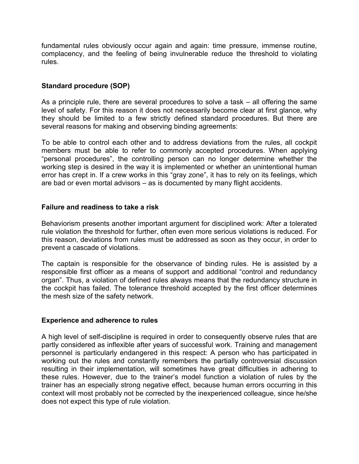fundamental rules obviously occur again and again: time pressure, immense routine, complacency, and the feeling of being invulnerable reduce the threshold to violating rules.

# **Standard procedure (SOP)**

As a principle rule, there are several procedures to solve a task – all offering the same level of safety. For this reason it does not necessarily become clear at first glance, why they should be limited to a few strictly defined standard procedures. But there are several reasons for making and observing binding agreements:

To be able to control each other and to address deviations from the rules, all cockpit members must be able to refer to commonly accepted procedures. When applying "personal procedures", the controlling person can no longer determine whether the working step is desired in the way it is implemented or whether an unintentional human error has crept in. If a crew works in this "gray zone", it has to rely on its feelings, which are bad or even mortal advisors – as is documented by many flight accidents.

#### **Failure and readiness to take a risk**

Behaviorism presents another important argument for disciplined work: After a tolerated rule violation the threshold for further, often even more serious violations is reduced. For this reason, deviations from rules must be addressed as soon as they occur, in order to prevent a cascade of violations.

The captain is responsible for the observance of binding rules. He is assisted by a responsible first officer as a means of support and additional "control and redundancy organ". Thus, a violation of defined rules always means that the redundancy structure in the cockpit has failed. The tolerance threshold accepted by the first officer determines the mesh size of the safety network.

#### **Experience and adherence to rules**

A high level of self-discipline is required in order to consequently observe rules that are partly considered as inflexible after years of successful work. Training and management personnel is particularly endangered in this respect: A person who has participated in working out the rules and constantly remembers the partially controversial discussion resulting in their implementation, will sometimes have great difficulties in adhering to these rules. However, due to the trainer's model function a violation of rules by the trainer has an especially strong negative effect, because human errors occurring in this context will most probably not be corrected by the inexperienced colleague, since he/she does not expect this type of rule violation.